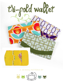

**a sewing pattern by**

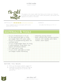

This project is for a basic wallet that folds up into thirds, but it features a contrast front band, snap closure, credit card pockets, cash pocket, and zippered coin pocket on the back.

## DIFFICULTY: **THE**

makes:

Pretty straightforward, but some parts call for some one wallet that folds up to 7  $1/2$ " x 4" detail work that's finicky.

# **materials & tools**

| . 1/2 yd. of directional or 1/4 yd.<br>• Matching sewing thread<br>of non-directional light to medi-<br>· Basic sewing tools (sewing machine,<br>um-weight fabric for outer wallet<br>scissors, iron, needles, pins, fabric<br>· 1/8 yd. of complementing fabric for<br>marker, seam ripper)<br>contrast band |
|---------------------------------------------------------------------------------------------------------------------------------------------------------------------------------------------------------------------------------------------------------------------------------------------------------------|
|                                                                                                                                                                                                                                                                                                               |
| · 1/4 yd. of lightweight fabric for lining                                                                                                                                                                                                                                                                    |
| (I used polyester lining fabric, but                                                                                                                                                                                                                                                                          |
| cotton will behave better)                                                                                                                                                                                                                                                                                    |
| · 1/2" wide sew-in snap                                                                                                                                                                                                                                                                                       |
|                                                                                                                                                                                                                                                                                                               |
| · 1/4 yd. of 45" wide light to medi-                                                                                                                                                                                                                                                                          |
| um-weight fusible interfacing                                                                                                                                                                                                                                                                                 |
|                                                                                                                                                                                                                                                                                                               |
|                                                                                                                                                                                                                                                                                                               |
|                                                                                                                                                                                                                                                                                                               |
|                                                                                                                                                                                                                                                                                                               |
|                                                                                                                                                                                                                                                                                                               |
|                                                                                                                                                                                                                                                                                                               |
|                                                                                                                                                                                                                                                                                                               |
|                                                                                                                                                                                                                                                                                                               |

### **before you begin:**

- **1.** Print out the project pattern, pages 11-17
- **2.** Assemble the pattern pieces by lining up the page markings (A1 to A2, B3 to B4, and so on)

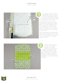# tri-fold wallet

sewing tutorial



This project is kind of interfac ing-centered. That is it relies a lot on the interfacing to give it structure and body, so it's really much easier to use the interfacing as your guideline when sewing.

I would recommend you cut your interfacing first (following the paper pattern with seam allowances cut off – cutting out the back pocket window helps too), fuse it to the back of your fabric, then trim away the fabric leaving a 1/2" seam allow ance as shown.

The contrast band and back pocket need no interfacing, so you can cut those from your fabric as usual. Draw on any markings from the paper pattern as well.



First up is the back coin pocket. This is done by sewing a little zipper window. Line up the rectangular marking from both the lining piece and the wallet piece with right sides together. If you cut a hole in your inter facing here, they should line up with that too. Sew around that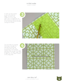To open up that window so you can install the zipper, cut down the middle of it so it's split open, then cut diagonally into the corners as close as you can to the stitching without actually cutting the threads.



Turn the fabric by pushing the lining in through the opening and flattening it on the other side. You should have a nice finished opening when you get the edges all pressed. The fabric might want to fight you, so it helps to press it for a long while.



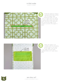

Install the zipper by lining it up behind the little window with the zipper slider positioned inside. You can pin it in place here, but taping or using a dab of glue stick also works well and is less obtrusive. Sew around the edge of the window to anchor the zipper in place.

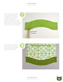Next up, apply the contrast band to the top edge of the wallet. First create the contrast pieces by sewing the two with right sides together along the inner curve. When finished, clip the seam allowances so turning the piece is easier. Press the contrast section nice and crisp when complete.



Line up the sewn contrast band with the marking on your wallet piece and edge stitch it in place, close to the seam from step 7.





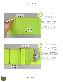

The inside of the wallet is started the same as the outside. Apply the interfacing to your uncut fabric, then trim away the excess until you have about 1/2" along the edges. To create all the pockets for the wallet, the lining is folded back and forth like an accordion. Mark the mountain fold lines on the right side of the fabric and mark the valley fold lines on the back side.



What we're going to do with those marks is fold the fabric there and sew an edge stitch along the fold. This will hold the fold in place and make all the accordion folding for the pockets a breeze. For every mountain fold, fold the fabric with wrong sides together and edge stitch along the fold. For every valley fold, fold the fabric with right sides together and edge stitch the fold.

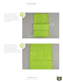Allow the mountain and valley folds to do their thing and your lining should fold up like this. You have two sets of card pockets in the middle and one bill slot at the bottom.



Finish the card pockets by sewing lines where the pattern indicates for the card pocket separations. Sew through all the layers of the inner wallet and the simple folds now become 6 card pockets :D

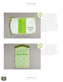

We're nearly there! You can finally bring together the outer wallet and inner wallet. Layer the two pieces with right sides facing and match up the edges of the interfacing. Sew around the edge of the interfacing on the wallet, leaving an opening at the bottom as the pattern indicates for turning. You'll see that now you can trim off the excess inner wallet fabric so when turned it will be the rounded shape of the outer wallet.



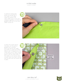To add the closing snap, attach the prong half to the inside of the wallet where the pattern indicates. Make sure it's nice and centered, regardless of where the guideline ends up on how your wallet turned out.



To place the socket half of the snap, use the pattern guideline as a starting point, but fold up the wallet too (while it's a little full, preferably) to see if things line up. You could mark a bit of fabric marker on the metal of the socket and press it into the other side of the wallet to see exactly where it lands. When you have it all set how you like, sew the socket half in place.





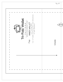|                                                                                                                                                                                                                                                 | Pg. 1/7          |
|-------------------------------------------------------------------------------------------------------------------------------------------------------------------------------------------------------------------------------------------------|------------------|
| г<br>Cut 1 of fusible interfacing (sans seam allowances)<br>Tri-Fold Wallet<br>WWW.FIGIZYYJOIU.NXX<br><b>INNER WALLET</b><br>Cut 1 of lining fabric<br>PATTERN<br>1/2" seam allowance<br><b>SALL DEAL TON</b><br><b>CENTER</b><br>$\frac{1}{2}$ | (A1 A)<br>Middle |
|                                                                                                                                                                                                                                                 |                  |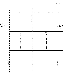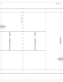| mountain fold<br>A3A                          |                                            |
|-----------------------------------------------|--------------------------------------------|
| Front pockets - front<br>Front pockets - back | Bottom                                     |
|                                               | $\left(\overline{A5} \overline{A6}\right)$ |
|                                               |                                            |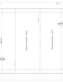| mountain fold<br>$\left( \overline{A7} \middle  A \right)$<br>Bottom pocket - front<br>Bottom pocket - back<br>Bottom |
|-----------------------------------------------------------------------------------------------------------------------|
| $\left[5A\right]$<br>valley fold                                                                                      |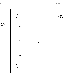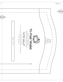